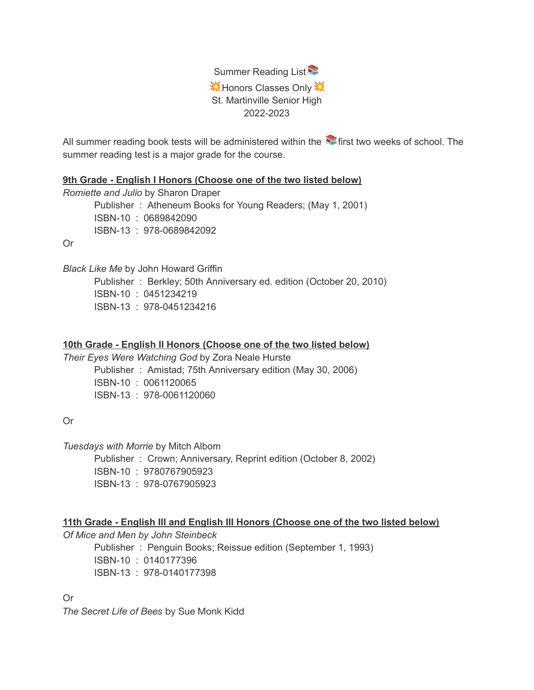

All summer reading book tests will be administered within the  $\blacktriangleright$  first two weeks of school. The summer reading test is a major grade for the course.

**9th Grade - English I Honors (Choose one of the two listed below)**

*Romiette and Julio* by Sharon Draper Publisher : Atheneum Books for Young Readers; (May 1, 2001) ISBN-10 : 0689842090 ISBN-13 : 978-0689842092

Or

*Black Like Me* by John Howard Griffin Publisher : Berkley; 50th Anniversary ed. edition (October 20, 2010) ISBN-10 : 0451234219 ISBN-13 : 978-0451234216

# **10th Grade - English II Honors (Choose one of the two listed below)**

*Their Eyes Were Watching God* by Zora Neale Hurste Publisher : Amistad; 75th Anniversary edition (May 30, 2006)

ISBN-10 : 0061120065

ISBN-13 : 978-0061120060

Or

*Tuesdays with Morrie* by Mitch Albom

Publisher : Crown; Anniversary, Reprint edition (October 8, 2002) ISBN-10 : 9780767905923 ISBN-13 : 978-0767905923

## **11th Grade - English III and English III Honors (Choose one of the two listed below)**

*Of Mice and Men by John Steinbeck*

Publisher : Penguin Books; Reissue edition (September 1, 1993) ISBN-10 : 0140177396 ISBN-13 : 978-0140177398

Or

*The Secret Life of Bees* by Sue Monk Kidd